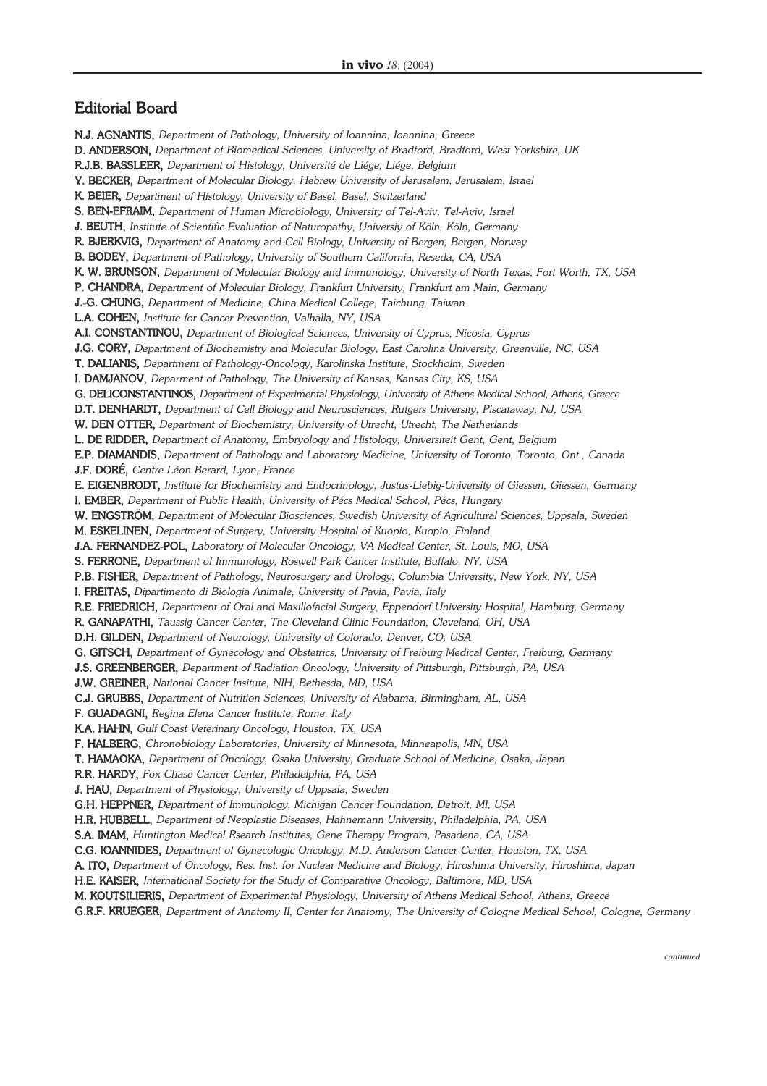## Editorial Board

N.J. AGNANTIS, *Department of Pathology, University of Ioannina, Ioannina, Greece* D. ANDERSON, *Department of Biomedical Sciences, University of Bradford, Bradford, West Yorkshire, UK* R.J.B. BASSLEER, *Department of Histology, Université de Liége, Liége, Belgium* Y. BECKER, *Department of Molecular Biology, Hebrew University of Jerusalem, Jerusalem, Israel* K. BEIER, *Department of Histology, University of Basel, Basel, Switzerland* S. BEN-EFRAIM, *Department of Human Microbiology, University of Tel-Aviv, Tel-Aviv, Israel* J. BEUTH, *Institute of Scientific Evaluation of Naturopathy, Universiy of Köln, Köln, Germany* R. BJERKVIG, *Department of Anatomy and Cell Biology, University of Bergen, Bergen, Norway* B. BODEY, *Department of Pathology, University of Southern California, Reseda, CA, USA* K. W. BRUNSON, *Department of Molecular Biology and Immunology, University of North Texas, Fort Worth, TX, USA*  P. CHANDRA, *Department of Molecular Biology, Frankfurt University, Frankfurt am Main, Germany* J.-G. CHUNG, *Department of Medicine, China Medical College, Taichung, Taiwan* L.A. COHEN, *Institute for Cancer Prevention, Valhalla, NY, USA* A.I. CONSTANTINOU, *Department of Biological Sciences, University of Cyprus, Nicosia, Cyprus* J.G. CORY, *Department of Biochemistry and Molecular Biology, East Carolina University, Greenville, NC, USA* T. DALIANIS, *Department of Pathology-Oncology, Karolinska Institute, Stockholm, Sweden* I. DAMJANOV, *Deparment of Pathology, The University of Kansas, Kansas City, KS, USA* G. DELICONSTANTINOS, *Department of Experimental Physiology, University of Athens Medical School, Athens, Greece* D.T. DENHARDT, *Department of Cell Biology and Neurosciences, Rutgers University, Piscataway, NJ, USA*  W. DEN OTTER, *Department of Biochemistry, University of Utrecht, Utrecht, The Netherlands* L. DE RIDDER, *Department of Anatomy, Embryology and Histology, Universiteit Gent, Gent, Belgium* E.P. DIAMANDIS, *Department of Pathology and Laboratory Medicine, University of Toronto, Toronto, Ont., Canada* J.F. DORÉ, *Centre Léon Berard, Lyon, France* E. EIGENBRODT, *Institute for Biochemistry and Endocrinology, Justus-Liebig-University of Giessen, Giessen, Germany* I. EMBER, *Department of Public Health, University of Pécs Medical School, Pécs, Hungary* W. ENGSTRÖM, *Department of Molecular Biosciences, Swedish University of Agricultural Sciences, Uppsala, Sweden* M. ESKELINEN, *Department of Surgery, University Hospital of Kuopio, Kuopio, Finland* J.A. FERNANDEZ-POL, *Laboratory of Molecular Oncology, VA Medical Center, St. Louis, MO, USA* S. FERRONE, *Department of Immunology, Roswell Park Cancer Institute, Buffalo, NY, USA* P.B. FISHER, *Department of Pathology, Neurosurgery and Urology, Columbia University, New York, NY, USA* I. FREITAS, *Dipartimento di Biologia Animale, University of Pavia, Pavia, Italy* R.E. FRIEDRICH, *Department of Oral and Maxillofacial Surgery, Eppendorf University Hospital, Hamburg, Germany* R. GANAPATHI, *Taussig Cancer Center, The Cleveland Clinic Foundation, Cleveland, OH, USA* D.H. GILDEN, *Department of Neurology, University of Colorado, Denver, CO, USA* G. GITSCH, *Department of Gynecology and Obstetrics, University of Freiburg Medical Center, Freiburg, Germany* J.S. GREENBERGER, *Department of Radiation Oncology, University of Pittsburgh, Pittsburgh, PA, USA* J.W. GREINER, *National Cancer Insitute, NIH, Bethesda, MD, USA* C.J. GRUBBS, *Department of Nutrition Sciences, University of Alabama, Birmingham, AL, USA* F. GUADAGNI, *Regina Elena Cancer Institute, Rome, Italy* K.A. HAHN, *Gulf Coast Veterinary Oncology, Houston, TX, USA* F. HALBERG, *Chronobiology Laboratories, University of Minnesota, Minneapolis, MN, USA* T. HAMAOKA, *Department of Oncology, Osaka University, Graduate School of Medicine, Osaka, Japan* R.R. HARDY, *Fox Chase Cancer Center, Philadelphia, PA, USA* J. HAU, *Department of Physiology, University of Uppsala, Sweden* G.H. HEPPNER, *Department of Immunology, Michigan Cancer Foundation, Detroit, MI, USA* H.R. HUBBELL, *Department of Neoplastic Diseases, Hahnemann University, Philadelphia, PA, USA* S.A. IMAM, *Huntington Medical Rsearch Institutes, Gene Therapy Program, Pasadena, CA, USA* C.G. IOANNIDES, *Department of Gynecologic Oncology, M.D. Anderson Cancer Center, Houston, TX, USA* A. ITO, *Department of Oncology, Res. Inst. for Nuclear Medicine and Biology, Hiroshima University, Hiroshima, Japan* H.E. KAISER, *International Society for the Study of Comparative Oncology, Baltimore, MD, USA* M. KOUTSILIERIS, *Department of Experimental Physiology, University of Athens Medical School, Athens, Greece* G.R.F. KRUEGER, *Department of Anatomy II, Center for Anatomy, The University of Cologne Medical School, Cologne, Germany*